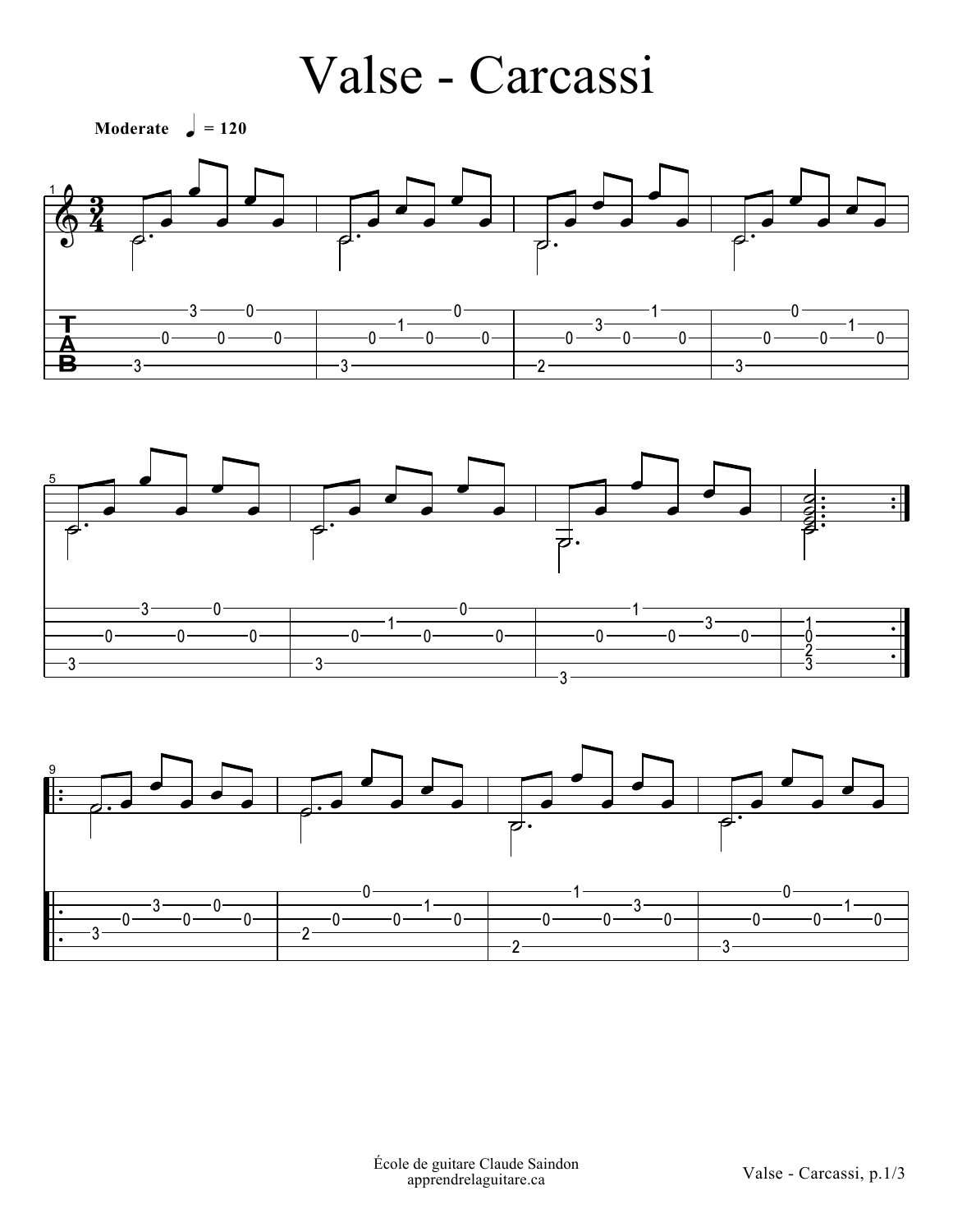Valse - Carcassi





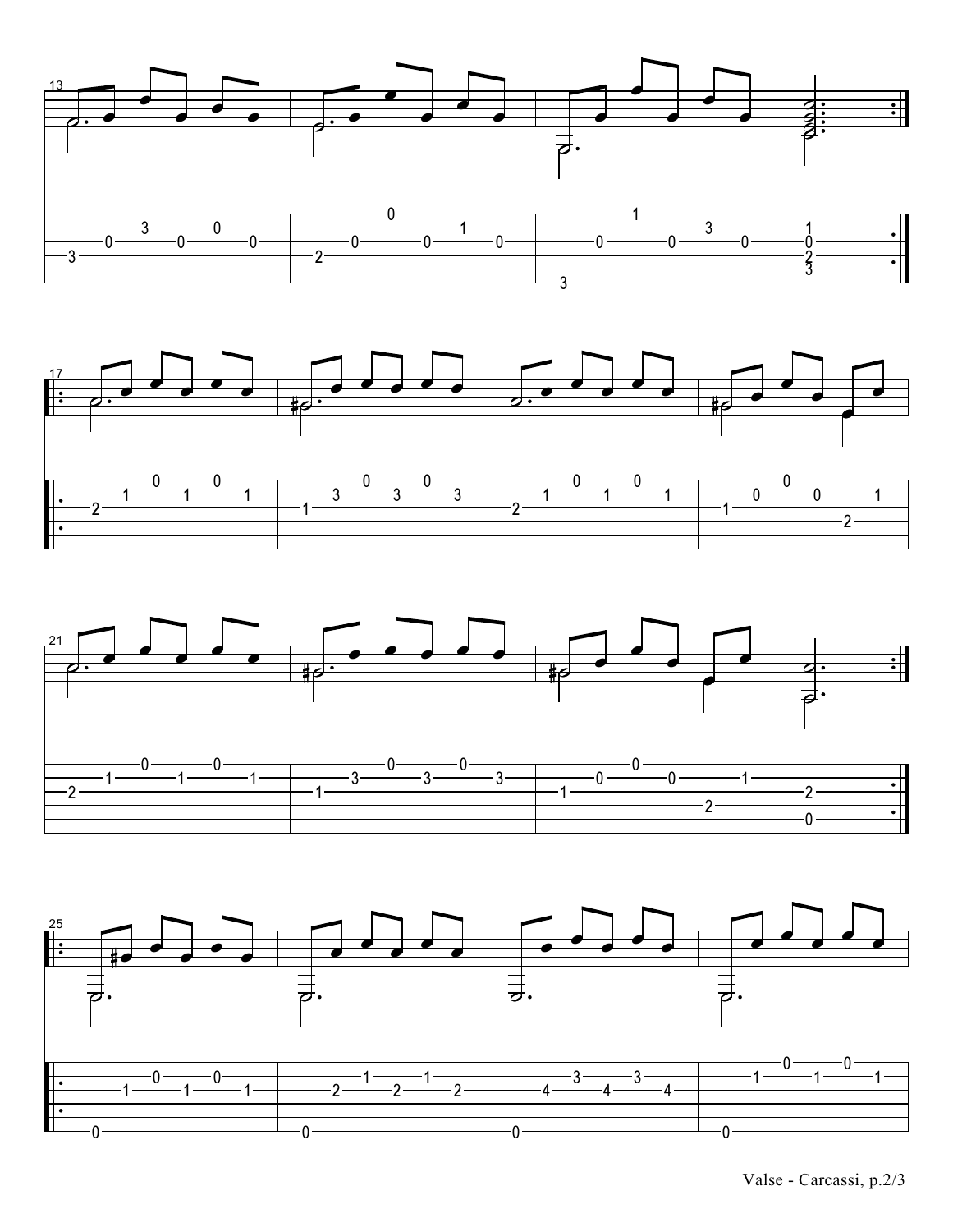







Valse - Carcassi, p.2/3